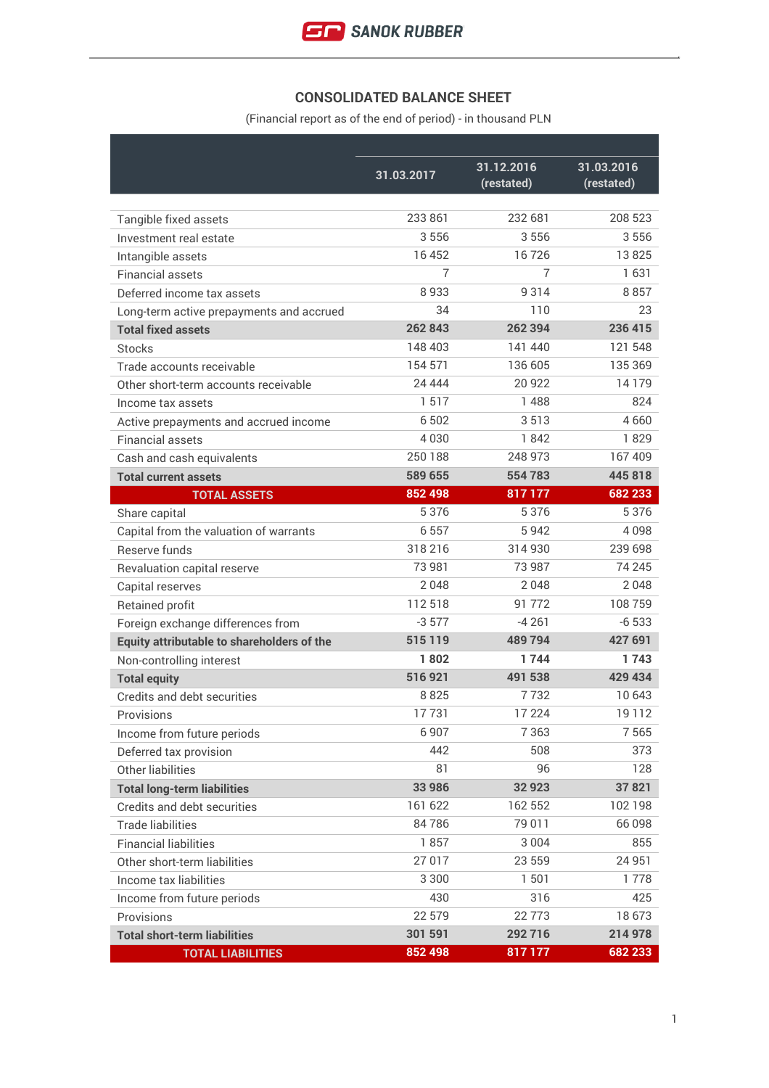

## **CONSOLIDATED BALANCE SHEET**

(Financial report as of the end of period) - in thousand PLN

|                                            | 31.03.2017 | 31.12.2016<br>(restated) | 31.03.2016<br>(restated) |
|--------------------------------------------|------------|--------------------------|--------------------------|
|                                            |            |                          |                          |
| Tangible fixed assets                      | 233 861    | 232 681                  | 208 523                  |
| Investment real estate                     | 3556       | 3556                     | 3556                     |
| Intangible assets                          | 16 452     | 16726                    | 13825                    |
| <b>Financial assets</b>                    | 7          | $\overline{7}$           | 1631                     |
| Deferred income tax assets                 | 8933       | 9314                     | 8857                     |
| Long-term active prepayments and accrued   | 34         | 110                      | 23                       |
| <b>Total fixed assets</b>                  | 262 843    | 262 394                  | 236 415                  |
| <b>Stocks</b>                              | 148 403    | 141 440                  | 121 548                  |
| Trade accounts receivable                  | 154 571    | 136 605                  | 135 369                  |
| Other short-term accounts receivable       | 24 4 44    | 20 922                   | 14179                    |
| Income tax assets                          | 1517       | 1488                     | 824                      |
| Active prepayments and accrued income      | 6 5 0 2    | 3513                     | 4660                     |
| <b>Financial assets</b>                    | 4030       | 1842                     | 1829                     |
| Cash and cash equivalents                  | 250 188    | 248 973                  | 167 409                  |
| <b>Total current assets</b>                | 589 655    | 554783                   | 445818                   |
| <b>TOTAL ASSETS</b>                        | 852 498    | 817 177                  | 682 233                  |
| Share capital                              | 5 3 7 6    | 5376                     | 5376                     |
| Capital from the valuation of warrants     | 6557       | 5942                     | 4098                     |
| Reserve funds                              | 318216     | 314 930                  | 239 698                  |
| Revaluation capital reserve                | 73 981     | 73 987                   | 74 245                   |
| Capital reserves                           | 2048       | 2048                     | 2048                     |
| <b>Retained profit</b>                     | 112518     | 91 772                   | 108759                   |
| Foreign exchange differences from          | $-3577$    | $-4261$                  | $-6533$                  |
| Equity attributable to shareholders of the | 515 119    | 489 794                  | 427 691                  |
| Non-controlling interest                   | 1802       | 1744                     | 1743                     |
| <b>Total equity</b>                        | 516921     | 491 538                  | 429 434                  |
| Credits and debt securities                | 8825       | 7732                     | 10 643                   |
| Provisions                                 | 17731      | 17 224                   | 19112                    |
| Income from future periods                 | 6907       | 7 3 6 3                  | 7565                     |
| Deferred tax provision                     | 442        | 508                      | 373                      |
| Other liabilities                          | 81         | 96                       | 128                      |
| <b>Total long-term liabilities</b>         | 33 986     | 32 923                   | 37821                    |
| Credits and debt securities                | 161 622    | 162 552                  | 102 198                  |
| <b>Trade liabilities</b>                   | 84786      | 79 011                   | 66 098                   |
| <b>Financial liabilities</b>               | 1857       | 3 0 0 4                  | 855                      |
| Other short-term liabilities               | 27 017     | 23 559                   | 24 951                   |
| Income tax liabilities                     | 3 3 0 0    | 1 501                    | 1778                     |
| Income from future periods                 | 430        | 316                      | 425                      |
| Provisions                                 | 22 579     | 22 7 73                  | 18673                    |
| <b>Total short-term liabilities</b>        | 301 591    | 292716                   | 214 978                  |
| <b>TOTAL LIABILITIES</b>                   | 852 498    | 817 177                  | 682 233                  |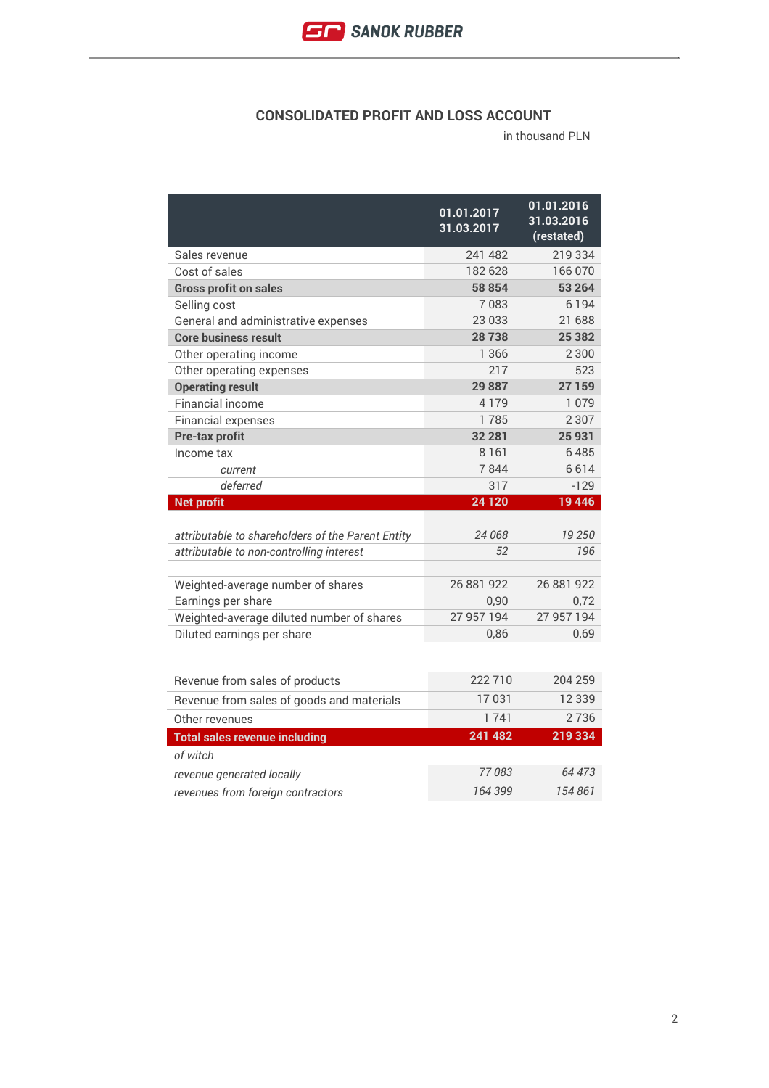

#### **CONSOLIDATED PROFIT AND LOSS ACCOUNT**

|                                                   | 01.01.2017<br>31.03.2017 | 01.01.2016<br>31.03.2016<br>(restated) |
|---------------------------------------------------|--------------------------|----------------------------------------|
| Sales revenue                                     | 241 482                  | 219 334                                |
| Cost of sales                                     | 182 628                  | 166 070                                |
| <b>Gross profit on sales</b>                      | 58 854                   | 53 264                                 |
| Selling cost                                      | 7083                     | 6 1 9 4                                |
| General and administrative expenses               | 23 033                   | 21 688                                 |
| <b>Core business result</b>                       | 28738                    | 25 3 8 2                               |
| Other operating income                            | 1 3 6 6                  | 2 3 0 0                                |
| Other operating expenses                          | 217                      | 523                                    |
| <b>Operating result</b>                           | 29887                    | 27 159                                 |
| Financial income                                  | 4179                     | 1 0 7 9                                |
| <b>Financial expenses</b>                         | 1785                     | 2 3 0 7                                |
| <b>Pre-tax profit</b>                             | 32 281                   | 25 931                                 |
| Income tax                                        | 8 1 6 1                  | 6485                                   |
| current                                           | 7844                     | 6614                                   |
| deferred                                          | 317                      | $-129$                                 |
| <b>Net profit</b>                                 |                          |                                        |
|                                                   | 24 1 20                  | 19 4 46                                |
|                                                   |                          |                                        |
| attributable to shareholders of the Parent Entity | 24 068                   | 19 250                                 |
| attributable to non-controlling interest          | 52                       | 196                                    |
|                                                   |                          |                                        |
| Weighted-average number of shares                 | 26 881 922               | 26 881 922                             |
| Earnings per share                                | 0,90                     | 0,72                                   |
| Weighted-average diluted number of shares         | 27 957 194               | 27 957 194                             |
| Diluted earnings per share                        | 0,86                     | 0,69                                   |
|                                                   |                          |                                        |
| Revenue from sales of products                    | 222 710                  | 204 259                                |
| Revenue from sales of goods and materials         | 17031                    | 12 3 3 9                               |
| Other revenues                                    | 1741                     | 2736                                   |
| <b>Total sales revenue including</b>              | 241 482                  | 219334                                 |
| of witch                                          |                          |                                        |
| revenue generated locally                         | 77083                    | 64 473                                 |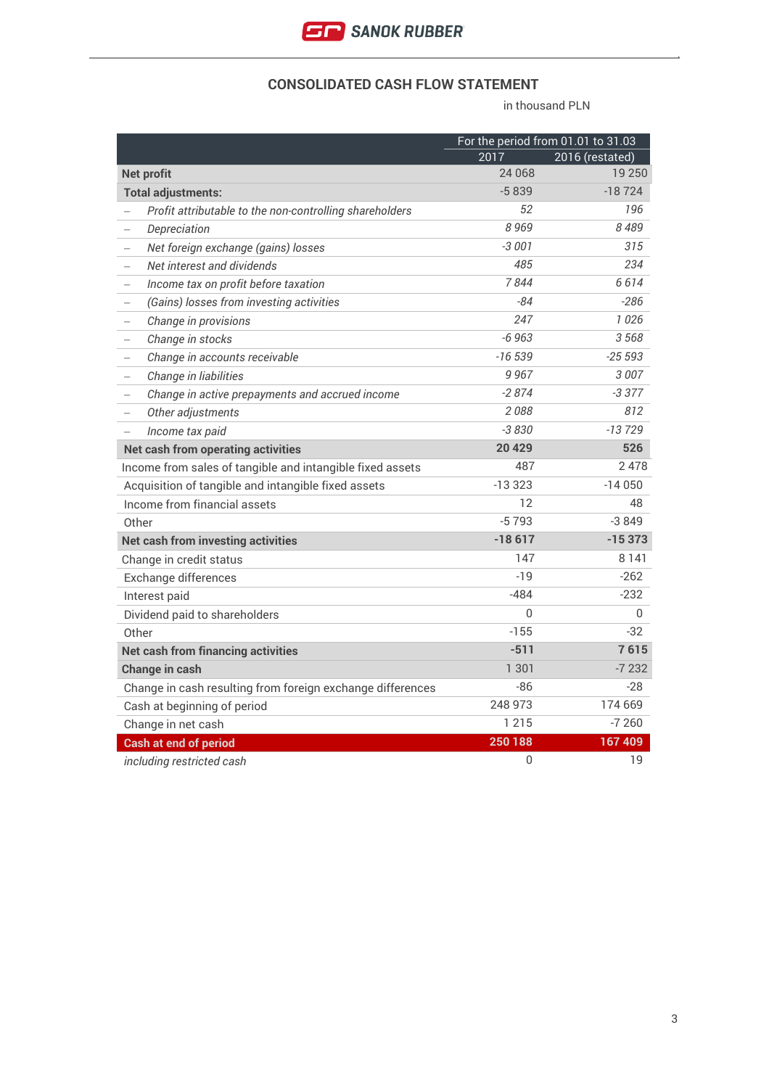

#### **CONSOLIDATED CASH FLOW STATEMENT**

|                                                                      |          | For the period from 01.01 to 31.03 |
|----------------------------------------------------------------------|----------|------------------------------------|
|                                                                      | 2017     | 2016 (restated)                    |
| <b>Net profit</b>                                                    | 24 068   | 19 250                             |
| <b>Total adjustments:</b>                                            | $-5839$  | $-18724$                           |
| Profit attributable to the non-controlling shareholders              | 52       | 196                                |
| Depreciation                                                         | 8969     | 8489                               |
| Net foreign exchange (gains) losses                                  | $-3001$  | 315                                |
| Net interest and dividends<br>$\overline{\phantom{0}}$               | 485      | 234                                |
| Income tax on profit before taxation<br>$\overline{\phantom{0}}$     | 7844     | 6614                               |
| (Gains) losses from investing activities<br>$\qquad \qquad -$        | $-84$    | $-286$                             |
| Change in provisions<br>$\qquad \qquad -$                            | 247      | 1026                               |
| Change in stocks<br>$\qquad \qquad -$                                | $-6963$  | 3568                               |
| Change in accounts receivable                                        | $-16539$ | $-25593$                           |
| Change in liabilities<br>$\overline{\phantom{0}}$                    | 9967     | 3007                               |
| Change in active prepayments and accrued income<br>$\qquad \qquad -$ | $-2874$  | $-3377$                            |
| Other adjustments<br>$\qquad \qquad -$                               | 2088     | 812                                |
| Income tax paid                                                      | $-3830$  | $-13729$                           |
| <b>Net cash from operating activities</b>                            | 20 4 29  | 526                                |
| Income from sales of tangible and intangible fixed assets            | 487      | 2478                               |
| Acquisition of tangible and intangible fixed assets                  | $-13323$ | $-14050$                           |
| Income from financial assets                                         | 12       | 48                                 |
| Other                                                                | $-5793$  | $-3849$                            |
| <b>Net cash from investing activities</b>                            | $-18617$ | $-15373$                           |
| Change in credit status                                              | 147      | 8 1 4 1                            |
| Exchange differences                                                 | $-19$    | $-262$                             |
| Interest paid                                                        | $-484$   | $-232$                             |
| Dividend paid to shareholders                                        | $\Omega$ | $\mathbf{0}$                       |
| Other                                                                | $-155$   | $-32$                              |
| <b>Net cash from financing activities</b>                            | $-511$   | 7615                               |
| <b>Change in cash</b>                                                | 1 301    | $-7232$                            |
| Change in cash resulting from foreign exchange differences           | $-86$    | $-28$                              |
| Cash at beginning of period                                          | 248 973  | 174 669                            |
| Change in net cash                                                   | 1 2 1 5  | $-7260$                            |
| <b>Cash at end of period</b>                                         | 250 188  | 167 409                            |
| including restricted cash                                            | 0        | 19                                 |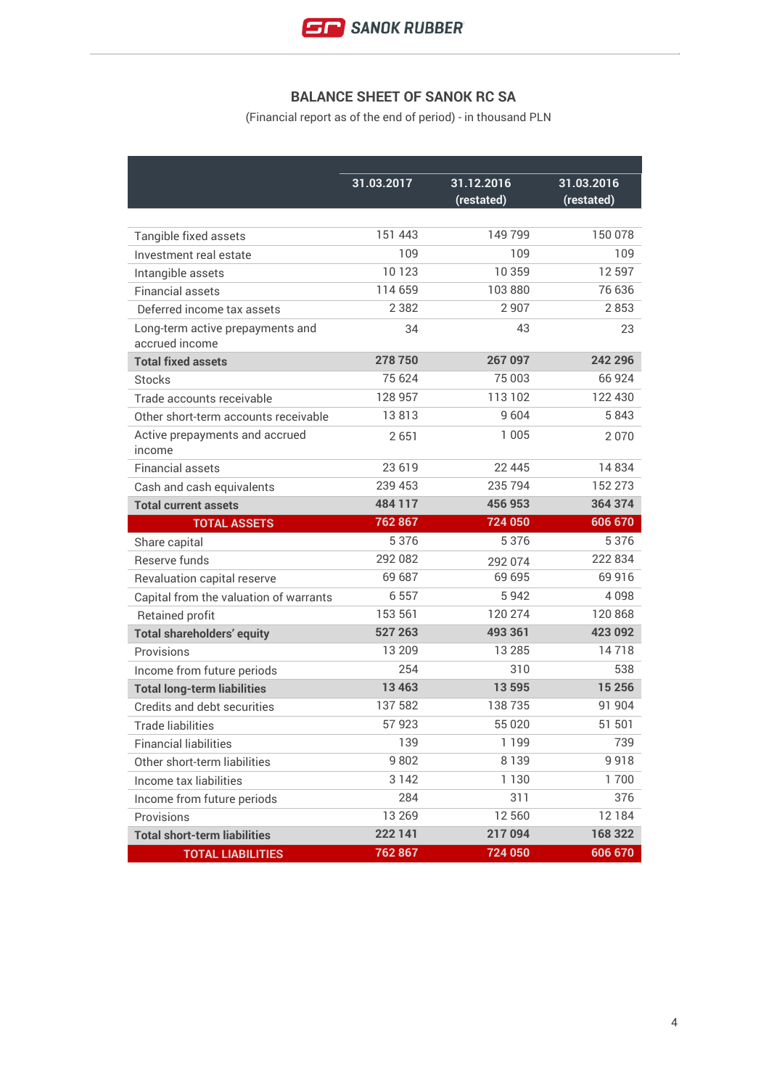

# **BALANCE SHEET OF SANOK RC SA**

(Financial report as of the end of period) - in thousand PLN

|                                                    | 31.03.2017 | 31.12.2016 | 31.03.2016 |
|----------------------------------------------------|------------|------------|------------|
|                                                    |            | (restated) | (restated) |
|                                                    |            |            |            |
| Tangible fixed assets                              | 151 443    | 149799     | 150 078    |
| Investment real estate                             | 109        | 109        | 109        |
| Intangible assets                                  | 10123      | 10 359     | 12 5 9 7   |
| <b>Financial assets</b>                            | 114 659    | 103 880    | 76 636     |
| Deferred income tax assets                         | 2 3 8 2    | 2 9 0 7    | 2853       |
| Long-term active prepayments and<br>accrued income | 34         | 43         | 23         |
| <b>Total fixed assets</b>                          | 278750     | 267 097    | 242 296    |
| <b>Stocks</b>                                      | 75 624     | 75 003     | 66924      |
| Trade accounts receivable                          | 128 957    | 113 102    | 122 430    |
| Other short-term accounts receivable               | 13813      | 9604       | 5843       |
| Active prepayments and accrued<br>income           | 2651       | 1 0 0 5    | 2070       |
| <b>Financial assets</b>                            | 23 6 19    | 22 445     | 14834      |
| Cash and cash equivalents                          | 239 453    | 235 794    | 152 273    |
| <b>Total current assets</b>                        | 484 117    | 456 953    | 364 374    |
| <b>TOTAL ASSETS</b>                                | 762867     | 724 050    | 606 670    |
| Share capital                                      | 5376       | 5376       | 5376       |
| Reserve funds                                      | 292 082    | 292 074    | 222 834    |
| Revaluation capital reserve                        | 69 687     | 69 695     | 69 916     |
| Capital from the valuation of warrants             | 6557       | 5942       | 4098       |
| Retained profit                                    | 153 561    | 120 274    | 120 868    |
| <b>Total shareholders' equity</b>                  | 527 263    | 493 361    | 423 092    |
| Provisions                                         | 13 209     | 13 2 8 5   | 14718      |
| Income from future periods                         | 254        | 310        | 538        |
| <b>Total long-term liabilities</b>                 | 13463      | 13595      | 15 25 6    |
| Credits and debt securities                        | 137 582    | 138735     | 91 904     |
| <b>Trade liabilities</b>                           | 57923      | 55 0 20    | 51 501     |
| <b>Financial liabilities</b>                       | 139        | 1 1 9 9    | 739        |
| Other short-term liabilities                       | 9802       | 8 1 3 9    | 9918       |
| Income tax liabilities                             | 3 1 4 2    | 1 1 3 0    | 1700       |
| Income from future periods                         | 284        | 311        | 376        |
| Provisions                                         | 13 2 6 9   | 12 560     | 12184      |
| <b>Total short-term liabilities</b>                | 222 141    | 217094     | 168 322    |
| <b>TOTAL LIABILITIES</b>                           | 762 867    | 724 050    | 606 670    |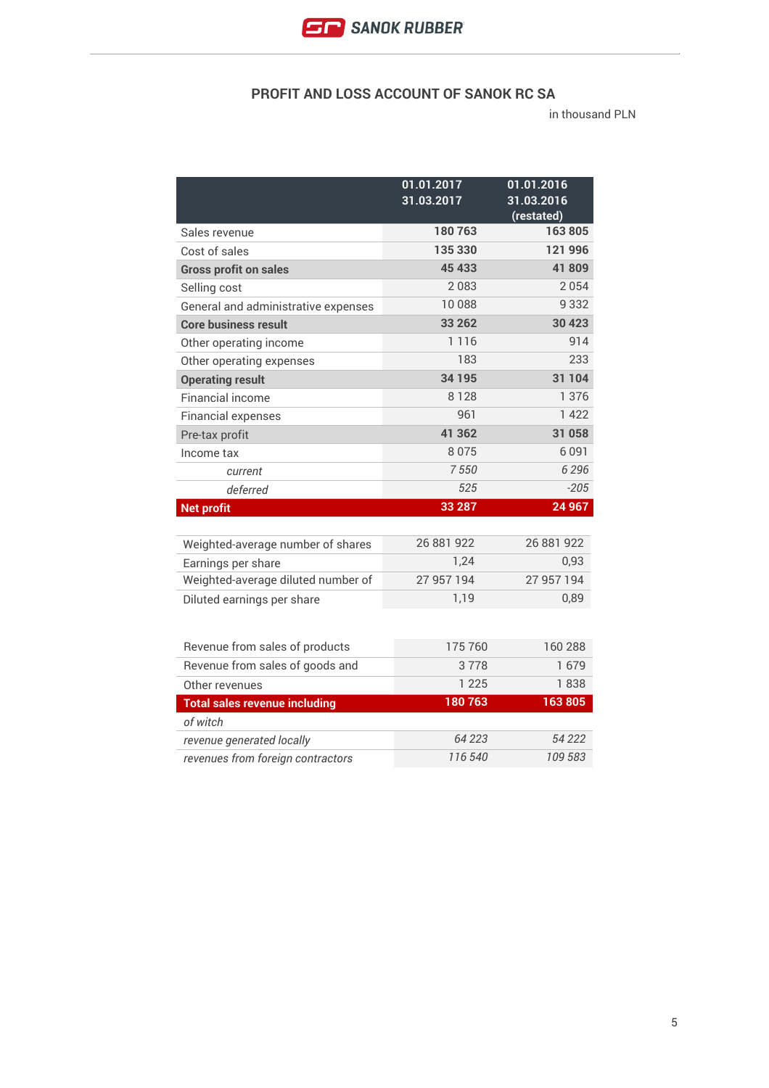

### **PROFIT AND LOSS ACCOUNT OF SANOK RC SA**

|                                      | 01.01.2017<br>31.03.2017 | 01.01.2016<br>31.03.2016<br>(restated) |
|--------------------------------------|--------------------------|----------------------------------------|
| Sales revenue                        | 180763                   | 163805                                 |
| Cost of sales                        | 135 330                  | 121 996                                |
| <b>Gross profit on sales</b>         | 45 433                   | 41809                                  |
| Selling cost                         | 2083                     | 2054                                   |
| General and administrative expenses  | 10088                    | 9 3 3 2                                |
| <b>Core business result</b>          | 33 26 2                  | 30 4 23                                |
| Other operating income               | 1 1 1 6                  | 914                                    |
| Other operating expenses             | 183                      | 233                                    |
| <b>Operating result</b>              | 34 195                   | 31 104                                 |
| Financial income                     | 8128                     | 1 3 7 6                                |
| <b>Financial expenses</b>            | 961                      | 1 4 2 2                                |
| Pre-tax profit                       | 41 362                   | 31 058                                 |
| Income tax                           | 8075                     | 6091                                   |
| current                              | 7550                     | 6 2 9 6                                |
| deferred                             | 525                      | $-205$                                 |
| <b>Net profit</b>                    | 33 287                   | 24 967                                 |
|                                      |                          |                                        |
| Weighted-average number of shares    | 26 881 922               | 26 881 922                             |
| Earnings per share                   | 1,24                     | 0.93                                   |
| Weighted-average diluted number of   | 27 957 194               | 27 957 194                             |
| Diluted earnings per share           | 1,19                     | 0,89                                   |
|                                      |                          |                                        |
| Revenue from sales of products       | 175 760                  | 160288                                 |
| Revenue from sales of goods and      | 3778                     | 1679                                   |
| Other revenues                       | 1 2 2 5                  | 1838                                   |
| <b>Total sales revenue including</b> | 180763                   | 163805                                 |
| of witch                             |                          |                                        |
| revenue generated locally            | 64 223                   | 54 222                                 |
| revenues from foreign contractors    | 116 540                  | 109 583                                |